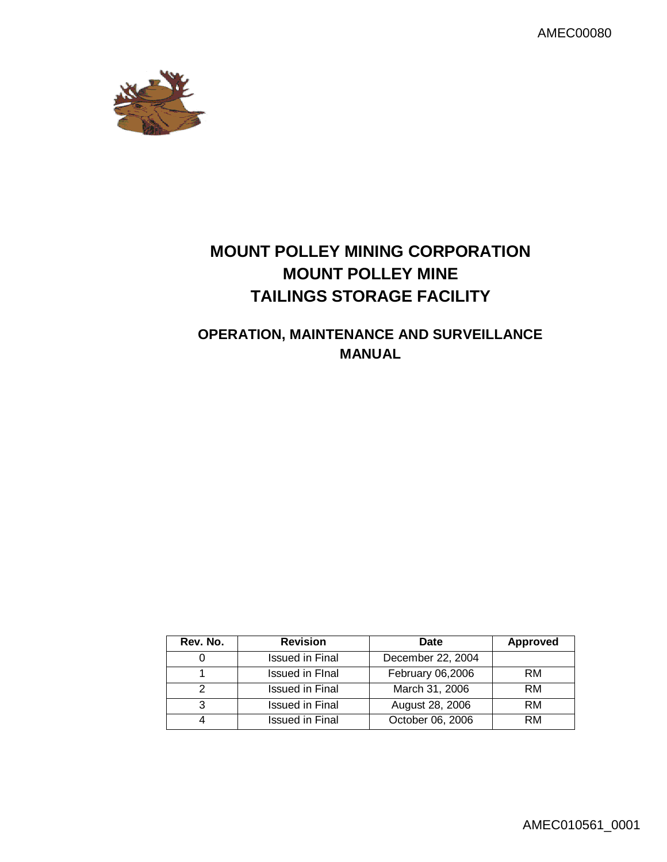AMEC00080



# **MOUNT POLLEY MINING CORPORATION MOUNT POLLEY MINE TAILINGS STORAGE FACILITY**

## **OPERATION, MAINTENANCE AND SURVEILLANCE MANUAL**

| Rev. No. | <b>Revision</b>        | Date              | <b>Approved</b> |
|----------|------------------------|-------------------|-----------------|
|          | Issued in Final        | December 22, 2004 |                 |
|          | <b>Issued in Final</b> | February 06,2006  | <b>RM</b>       |
|          | <b>Issued in Final</b> | March 31, 2006    | <b>RM</b>       |
| 3        | <b>Issued in Final</b> | August 28, 2006   | <b>RM</b>       |
|          | Issued in Final        | October 06, 2006  | RM              |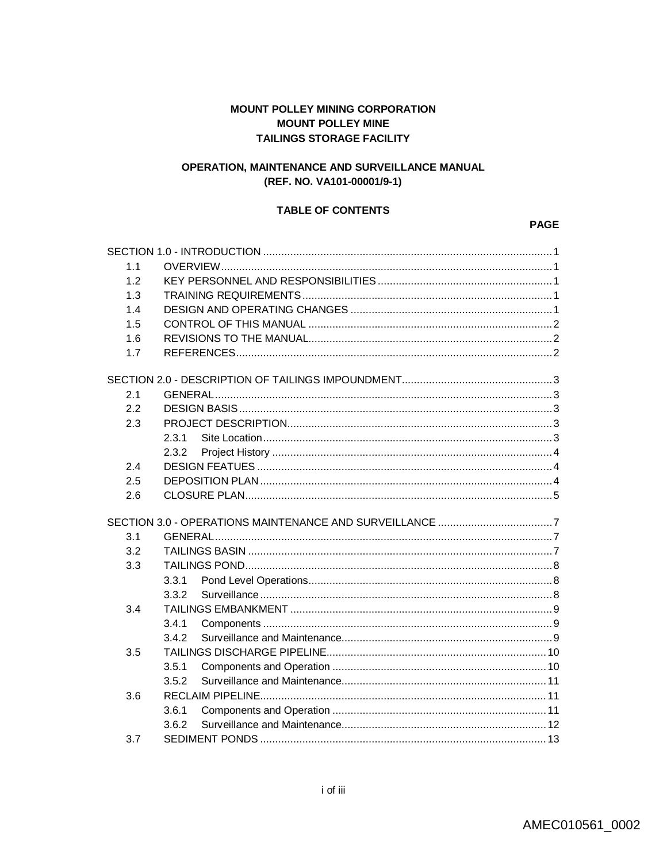## **MOUNT POLLEY MINING CORPORATION MOUNT POLLEY MINE TAILINGS STORAGE FACILITY**

## OPERATION, MAINTENANCE AND SURVEILLANCE MANUAL (REF. NO. VA101-00001/9-1)

#### **TABLE OF CONTENTS**

#### **PAGE**

| 1.1 |       |  |  |
|-----|-------|--|--|
| 12  |       |  |  |
| 1.3 |       |  |  |
| 1.4 |       |  |  |
| 1.5 |       |  |  |
| 1.6 |       |  |  |
| 1.7 |       |  |  |
|     |       |  |  |
| 2.1 |       |  |  |
| 2.2 |       |  |  |
| 2.3 |       |  |  |
|     | 2.3.1 |  |  |
|     | 2.3.2 |  |  |
| 2.4 |       |  |  |
| 2.5 |       |  |  |
| 2.6 |       |  |  |
|     |       |  |  |
| 3.1 |       |  |  |
| 3.2 |       |  |  |
| 3.3 |       |  |  |
|     | 3.3.1 |  |  |
|     | 3.3.2 |  |  |
| 3.4 |       |  |  |
|     | 3.4.1 |  |  |
|     | 3.4.2 |  |  |
| 3.5 |       |  |  |
|     | 3.5.1 |  |  |
|     | 3.5.2 |  |  |
| 3.6 |       |  |  |
|     | 3.6.1 |  |  |
|     | 3.6.2 |  |  |
| 3.7 |       |  |  |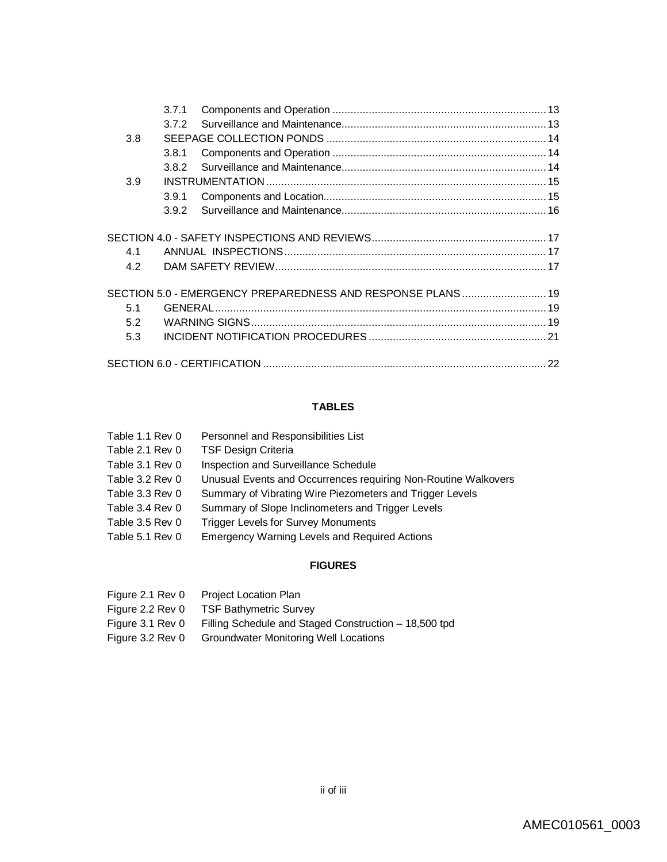|     | 3.7.1 |                                                             |  |
|-----|-------|-------------------------------------------------------------|--|
|     | 3.7.2 |                                                             |  |
| 3.8 |       |                                                             |  |
|     | 3.8.1 |                                                             |  |
|     | 3.8.2 |                                                             |  |
| 3.9 |       |                                                             |  |
|     | 3.9.1 |                                                             |  |
|     | 3.9.2 |                                                             |  |
|     |       |                                                             |  |
| 4.1 |       |                                                             |  |
| 4.2 |       |                                                             |  |
|     |       | SECTION 5.0 - EMERGENCY PREPAREDNESS AND RESPONSE PLANS  19 |  |
| 5.1 |       |                                                             |  |
| 5.2 |       |                                                             |  |
| 5.3 |       |                                                             |  |
|     |       |                                                             |  |

## **TABLES**

| Table 1.1 Rev 0 | Personnel and Responsibilities List                            |
|-----------------|----------------------------------------------------------------|
| Table 2.1 Rev 0 | <b>TSF Design Criteria</b>                                     |
| Table 3.1 Rev 0 | Inspection and Surveillance Schedule                           |
| Table 3.2 Rev 0 | Unusual Events and Occurrences requiring Non-Routine Walkovers |
| Table 3.3 Rev 0 | Summary of Vibrating Wire Piezometers and Trigger Levels       |
| Table 3.4 Rev 0 | Summary of Slope Inclinometers and Trigger Levels              |
| Table 3.5 Rev 0 | <b>Trigger Levels for Survey Monuments</b>                     |
| Table 5.1 Rev 0 | <b>Emergency Warning Levels and Required Actions</b>           |
|                 |                                                                |

## **FIGURES**

| Figure 2.1 Rev 0 | <b>Project Location Plan</b>                          |
|------------------|-------------------------------------------------------|
| Figure 2.2 Rev 0 | <b>TSF Bathymetric Survey</b>                         |
| Figure 3.1 Rev 0 | Filling Schedule and Staged Construction – 18,500 tpd |
| Figure 3.2 Rev 0 | <b>Groundwater Monitoring Well Locations</b>          |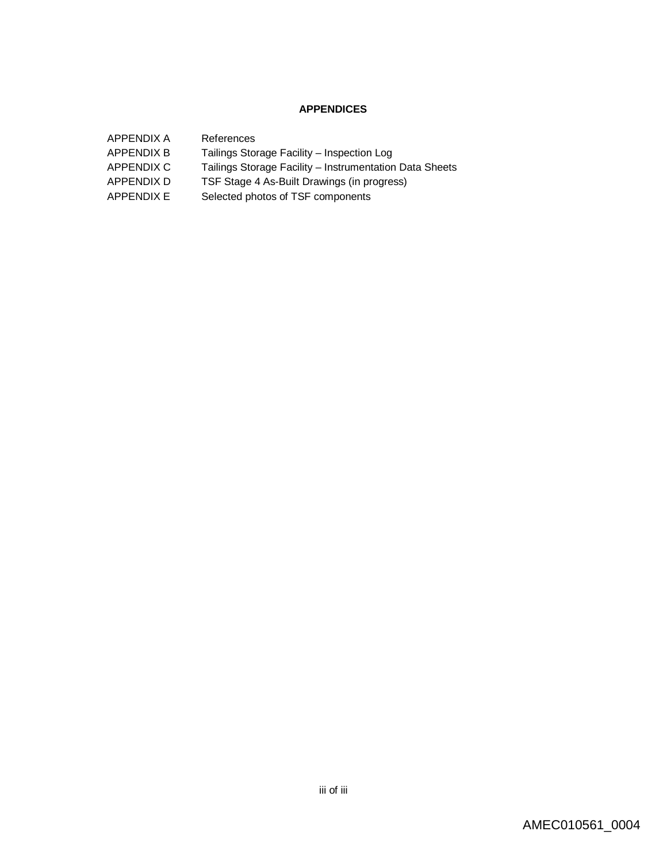## **APPENDICES**

| APPENDIX A        | References                                              |
|-------------------|---------------------------------------------------------|
| <b>APPENDIX B</b> | Tailings Storage Facility - Inspection Log              |
| APPENDIX C        | Tailings Storage Facility – Instrumentation Data Sheets |
| APPENDIX D        | TSF Stage 4 As-Built Drawings (in progress)             |
| APPENDIX E        | Selected photos of TSF components                       |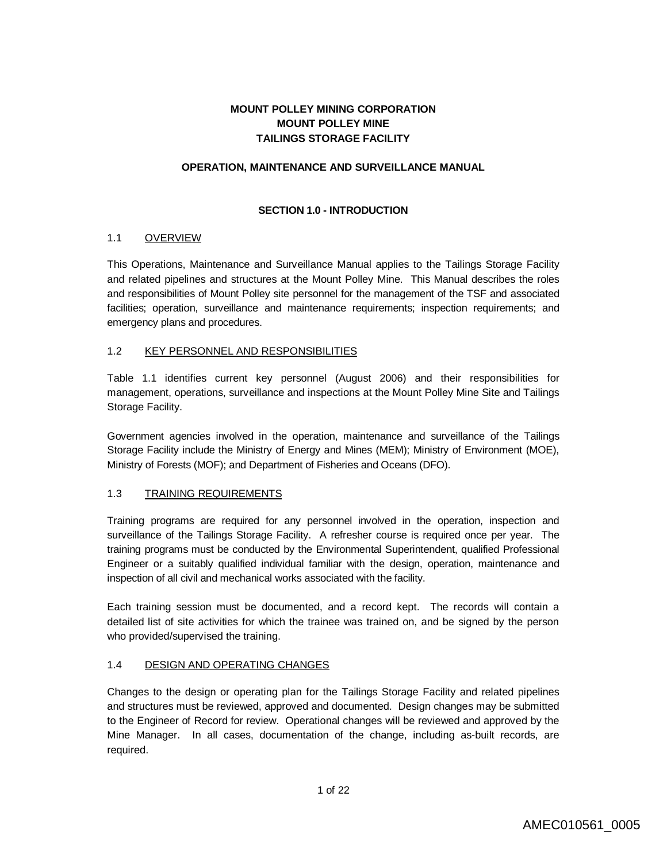## **MOUNT POLLEY MINING CORPORATION MOUNT POLLEY MINE TAILINGS STORAGE FACILITY**

### **OPERATION, MAINTENANCE AND SURVEILLANCE MANUAL**

## **SECTION 1.0 - INTRODUCTION**

### 1.1 OVERVIEW

This Operations, Maintenance and Surveillance Manual applies to the Tailings Storage Facility and related pipelines and structures at the Mount Polley Mine. This Manual describes the roles and responsibilities of Mount Polley site personnel for the management of the TSF and associated facilities; operation, surveillance and maintenance requirements; inspection requirements; and emergency plans and procedures.

#### 1.2 KEY PERSONNEL AND RESPONSIBILITIES

Table 1.1 identifies current key personnel (August 2006) and their responsibilities for management, operations, surveillance and inspections at the Mount Polley Mine Site and Tailings Storage Facility.

Government agencies involved in the operation, maintenance and surveillance of the Tailings Storage Facility include the Ministry of Energy and Mines (MEM); Ministry of Environment (MOE), Ministry of Forests (MOF); and Department of Fisheries and Oceans (DFO).

## 1.3 TRAINING REQUIREMENTS

Training programs are required for any personnel involved in the operation, inspection and surveillance of the Tailings Storage Facility. A refresher course is required once per year. The training programs must be conducted by the Environmental Superintendent, qualified Professional Engineer or a suitably qualified individual familiar with the design, operation, maintenance and inspection of all civil and mechanical works associated with the facility.

Each training session must be documented, and a record kept. The records will contain a detailed list of site activities for which the trainee was trained on, and be signed by the person who provided/supervised the training.

## 1.4 DESIGN AND OPERATING CHANGES

Changes to the design or operating plan for the Tailings Storage Facility and related pipelines and structures must be reviewed, approved and documented. Design changes may be submitted to the Engineer of Record for review. Operational changes will be reviewed and approved by the Mine Manager. In all cases, documentation of the change, including as-built records, are required.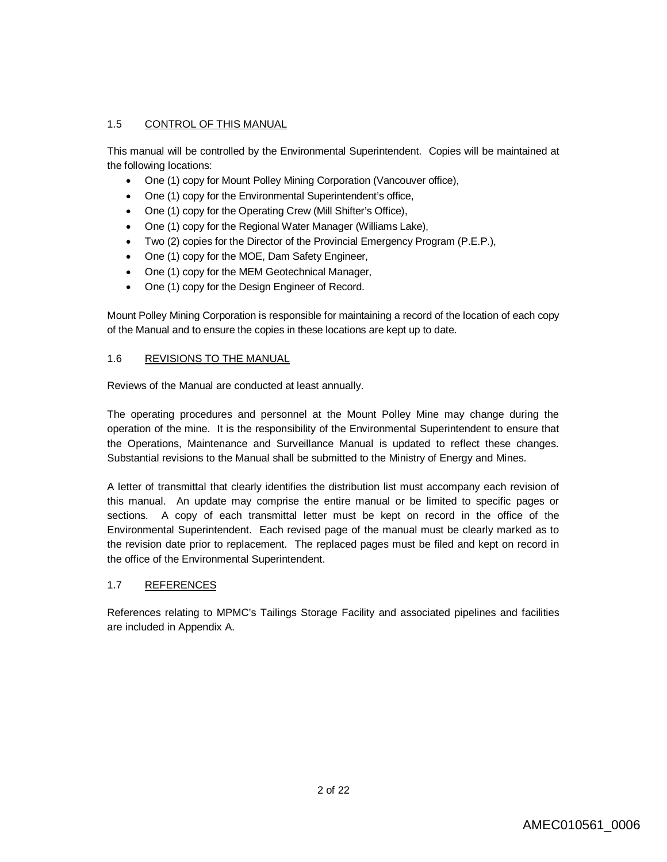## 1.5 CONTROL OF THIS MANUAL

This manual will be controlled by the Environmental Superintendent. Copies will be maintained at the following locations:

- One (1) copy for Mount Polley Mining Corporation (Vancouver office),
- One (1) copy for the Environmental Superintendent's office,
- One (1) copy for the Operating Crew (Mill Shifter's Office),
- One (1) copy for the Regional Water Manager (Williams Lake),
- Two (2) copies for the Director of the Provincial Emergency Program (P.E.P.),
- One (1) copy for the MOE, Dam Safety Engineer,
- One (1) copy for the MEM Geotechnical Manager,
- One (1) copy for the Design Engineer of Record.

Mount Polley Mining Corporation is responsible for maintaining a record of the location of each copy of the Manual and to ensure the copies in these locations are kept up to date.

### 1.6 REVISIONS TO THE MANUAL

Reviews of the Manual are conducted at least annually.

The operating procedures and personnel at the Mount Polley Mine may change during the operation of the mine. It is the responsibility of the Environmental Superintendent to ensure that the Operations, Maintenance and Surveillance Manual is updated to reflect these changes. Substantial revisions to the Manual shall be submitted to the Ministry of Energy and Mines.

A letter of transmittal that clearly identifies the distribution list must accompany each revision of this manual. An update may comprise the entire manual or be limited to specific pages or sections. A copy of each transmittal letter must be kept on record in the office of the Environmental Superintendent. Each revised page of the manual must be clearly marked as to the revision date prior to replacement. The replaced pages must be filed and kept on record in the office of the Environmental Superintendent.

## 1.7 REFERENCES

References relating to MPMC's Tailings Storage Facility and associated pipelines and facilities are included in Appendix A.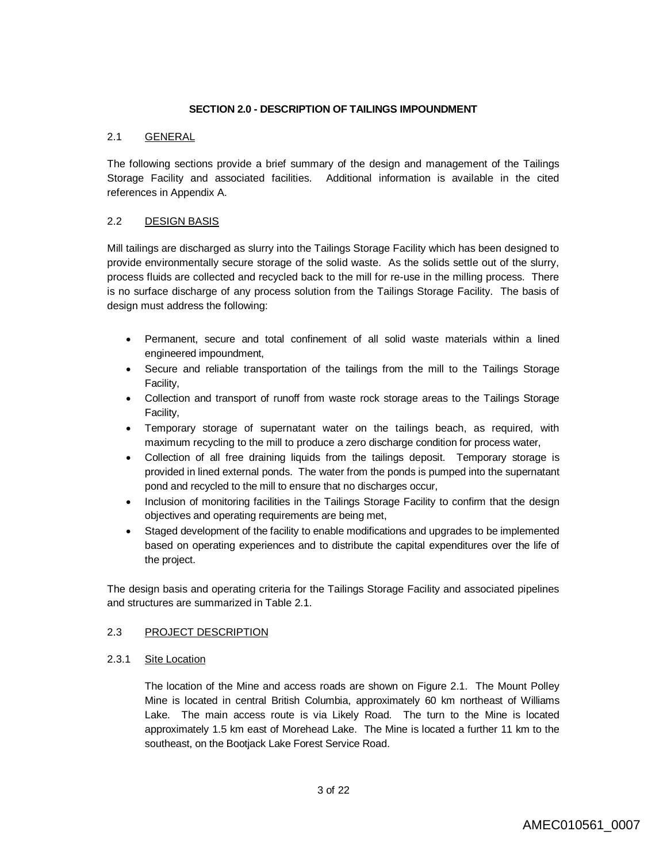#### **SECTION 2.0 - DESCRIPTION OF TAILINGS IMPOUNDMENT**

### 2.1 GENERAL

The following sections provide a brief summary of the design and management of the Tailings Storage Facility and associated facilities. Additional information is available in the cited references in Appendix A.

## 2.2 DESIGN BASIS

Mill tailings are discharged as slurry into the Tailings Storage Facility which has been designed to provide environmentally secure storage of the solid waste. As the solids settle out of the slurry, process fluids are collected and recycled back to the mill for re-use in the milling process. There is no surface discharge of any process solution from the Tailings Storage Facility. The basis of design must address the following:

- Permanent, secure and total confinement of all solid waste materials within a lined engineered impoundment,
- Secure and reliable transportation of the tailings from the mill to the Tailings Storage Facility,
- Collection and transport of runoff from waste rock storage areas to the Tailings Storage Facility,
- Temporary storage of supernatant water on the tailings beach, as required, with maximum recycling to the mill to produce a zero discharge condition for process water,
- Collection of all free draining liquids from the tailings deposit. Temporary storage is provided in lined external ponds. The water from the ponds is pumped into the supernatant pond and recycled to the mill to ensure that no discharges occur,
- Inclusion of monitoring facilities in the Tailings Storage Facility to confirm that the design objectives and operating requirements are being met,
- Staged development of the facility to enable modifications and upgrades to be implemented based on operating experiences and to distribute the capital expenditures over the life of the project.

The design basis and operating criteria for the Tailings Storage Facility and associated pipelines and structures are summarized in Table 2.1.

#### 2.3 PROJECT DESCRIPTION

#### 2.3.1 Site Location

The location of the Mine and access roads are shown on Figure 2.1. The Mount Polley Mine is located in central British Columbia, approximately 60 km northeast of Williams Lake. The main access route is via Likely Road. The turn to the Mine is located approximately 1.5 km east of Morehead Lake. The Mine is located a further 11 km to the southeast, on the Bootjack Lake Forest Service Road.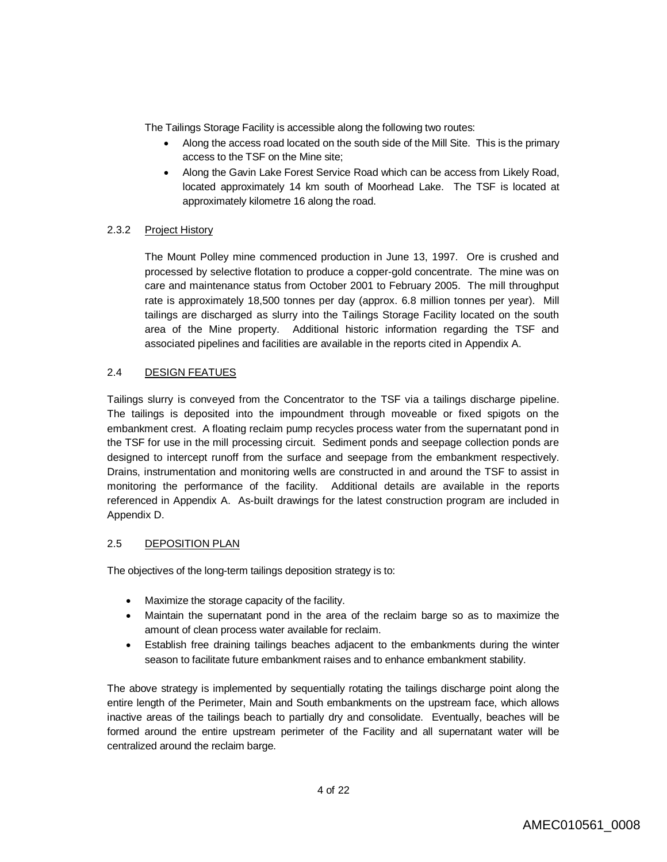The Tailings Storage Facility is accessible along the following two routes:

- Along the access road located on the south side of the Mill Site. This is the primary access to the TSF on the Mine site;
- Along the Gavin Lake Forest Service Road which can be access from Likely Road, located approximately 14 km south of Moorhead Lake. The TSF is located at approximately kilometre 16 along the road.

## 2.3.2 Project History

The Mount Polley mine commenced production in June 13, 1997. Ore is crushed and processed by selective flotation to produce a copper-gold concentrate. The mine was on care and maintenance status from October 2001 to February 2005. The mill throughput rate is approximately 18,500 tonnes per day (approx. 6.8 million tonnes per year). Mill tailings are discharged as slurry into the Tailings Storage Facility located on the south area of the Mine property. Additional historic information regarding the TSF and associated pipelines and facilities are available in the reports cited in Appendix A.

### 2.4 DESIGN FEATUES

Tailings slurry is conveyed from the Concentrator to the TSF via a tailings discharge pipeline. The tailings is deposited into the impoundment through moveable or fixed spigots on the embankment crest. A floating reclaim pump recycles process water from the supernatant pond in the TSF for use in the mill processing circuit. Sediment ponds and seepage collection ponds are designed to intercept runoff from the surface and seepage from the embankment respectively. Drains, instrumentation and monitoring wells are constructed in and around the TSF to assist in monitoring the performance of the facility. Additional details are available in the reports referenced in Appendix A. As-built drawings for the latest construction program are included in Appendix D.

#### 2.5 DEPOSITION PLAN

The objectives of the long-term tailings deposition strategy is to:

- Maximize the storage capacity of the facility.
- Maintain the supernatant pond in the area of the reclaim barge so as to maximize the amount of clean process water available for reclaim.
- Establish free draining tailings beaches adjacent to the embankments during the winter season to facilitate future embankment raises and to enhance embankment stability.

The above strategy is implemented by sequentially rotating the tailings discharge point along the entire length of the Perimeter, Main and South embankments on the upstream face, which allows inactive areas of the tailings beach to partially dry and consolidate. Eventually, beaches will be formed around the entire upstream perimeter of the Facility and all supernatant water will be centralized around the reclaim barge.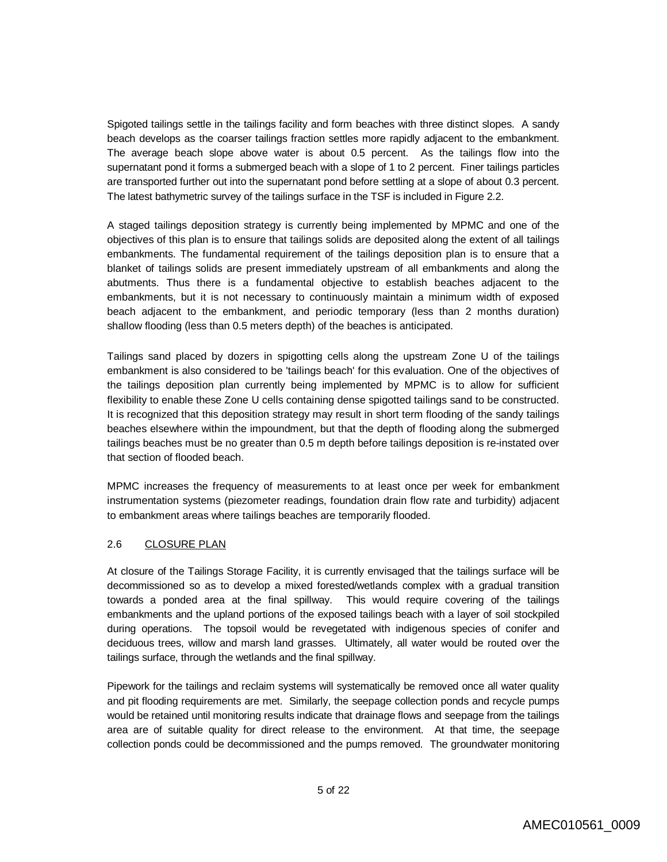Spigoted tailings settle in the tailings facility and form beaches with three distinct slopes. A sandy beach develops as the coarser tailings fraction settles more rapidly adjacent to the embankment. The average beach slope above water is about 0.5 percent. As the tailings flow into the supernatant pond it forms a submerged beach with a slope of 1 to 2 percent. Finer tailings particles are transported further out into the supernatant pond before settling at a slope of about 0.3 percent. The latest bathymetric survey of the tailings surface in the TSF is included in Figure 2.2.

A staged tailings deposition strategy is currently being implemented by MPMC and one of the objectives of this plan is to ensure that tailings solids are deposited along the extent of all tailings embankments. The fundamental requirement of the tailings deposition plan is to ensure that a blanket of tailings solids are present immediately upstream of all embankments and along the abutments. Thus there is a fundamental objective to establish beaches adjacent to the embankments, but it is not necessary to continuously maintain a minimum width of exposed beach adjacent to the embankment, and periodic temporary (less than 2 months duration) shallow flooding (less than 0.5 meters depth) of the beaches is anticipated.

Tailings sand placed by dozers in spigotting cells along the upstream Zone U of the tailings embankment is also considered to be 'tailings beach' for this evaluation. One of the objectives of the tailings deposition plan currently being implemented by MPMC is to allow for sufficient flexibility to enable these Zone U cells containing dense spigotted tailings sand to be constructed. It is recognized that this deposition strategy may result in short term flooding of the sandy tailings beaches elsewhere within the impoundment, but that the depth of flooding along the submerged tailings beaches must be no greater than 0.5 m depth before tailings deposition is re-instated over that section of flooded beach.

MPMC increases the frequency of measurements to at least once per week for embankment instrumentation systems (piezometer readings, foundation drain flow rate and turbidity) adjacent to embankment areas where tailings beaches are temporarily flooded.

## 2.6 CLOSURE PLAN

At closure of the Tailings Storage Facility, it is currently envisaged that the tailings surface will be decommissioned so as to develop a mixed forested/wetlands complex with a gradual transition towards a ponded area at the final spillway. This would require covering of the tailings embankments and the upland portions of the exposed tailings beach with a layer of soil stockpiled during operations. The topsoil would be revegetated with indigenous species of conifer and deciduous trees, willow and marsh land grasses. Ultimately, all water would be routed over the tailings surface, through the wetlands and the final spillway.

Pipework for the tailings and reclaim systems will systematically be removed once all water quality and pit flooding requirements are met. Similarly, the seepage collection ponds and recycle pumps would be retained until monitoring results indicate that drainage flows and seepage from the tailings area are of suitable quality for direct release to the environment. At that time, the seepage collection ponds could be decommissioned and the pumps removed. The groundwater monitoring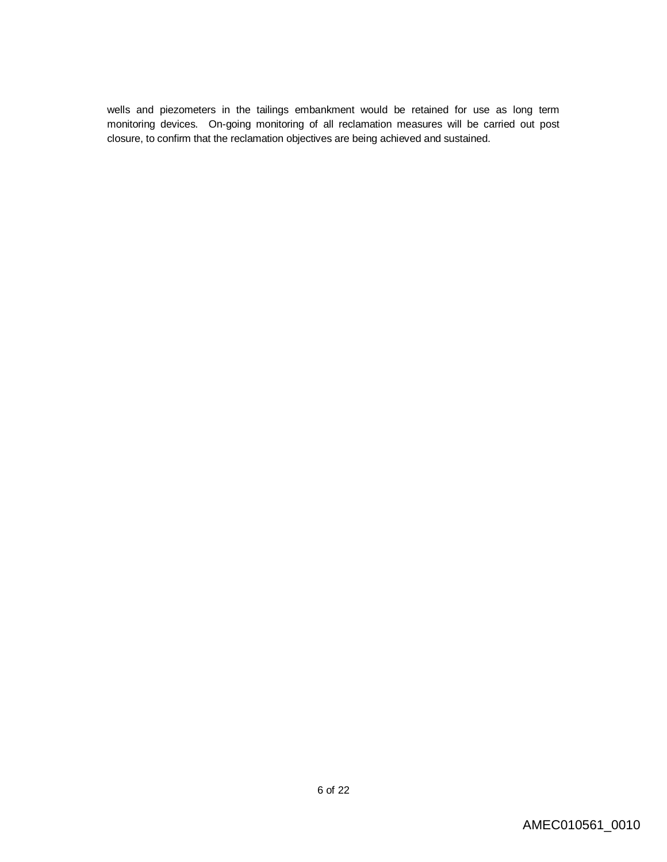wells and piezometers in the tailings embankment would be retained for use as long term monitoring devices. On-going monitoring of all reclamation measures will be carried out post closure, to confirm that the reclamation objectives are being achieved and sustained.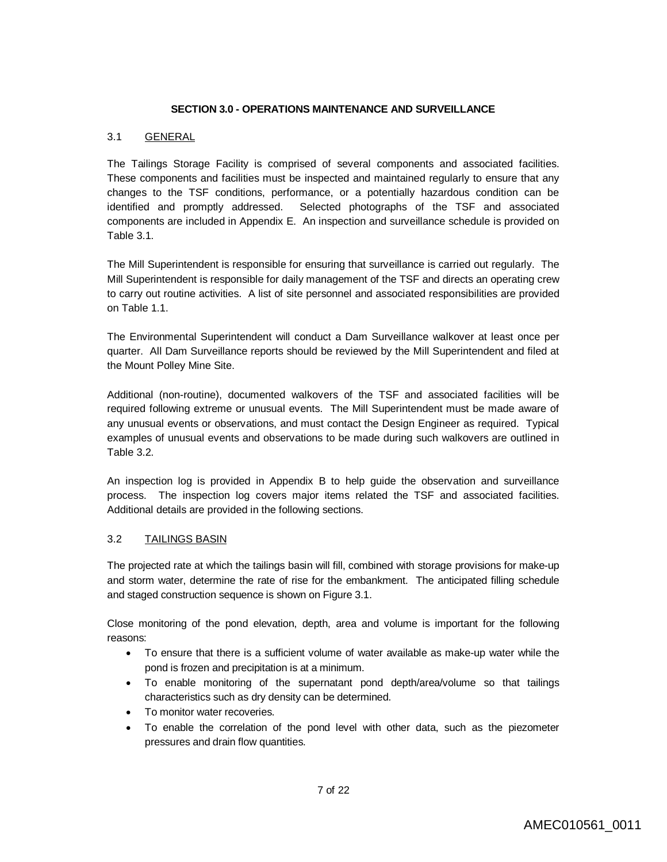#### **SECTION 3.0 - OPERATIONS MAINTENANCE AND SURVEILLANCE**

### 3.1 GENERAL

The Tailings Storage Facility is comprised of several components and associated facilities. These components and facilities must be inspected and maintained regularly to ensure that any changes to the TSF conditions, performance, or a potentially hazardous condition can be identified and promptly addressed. Selected photographs of the TSF and associated components are included in Appendix E. An inspection and surveillance schedule is provided on Table 3.1.

The Mill Superintendent is responsible for ensuring that surveillance is carried out regularly. The Mill Superintendent is responsible for daily management of the TSF and directs an operating crew to carry out routine activities. A list of site personnel and associated responsibilities are provided on Table 1.1.

The Environmental Superintendent will conduct a Dam Surveillance walkover at least once per quarter. All Dam Surveillance reports should be reviewed by the Mill Superintendent and filed at the Mount Polley Mine Site.

Additional (non-routine), documented walkovers of the TSF and associated facilities will be required following extreme or unusual events. The Mill Superintendent must be made aware of any unusual events or observations, and must contact the Design Engineer as required. Typical examples of unusual events and observations to be made during such walkovers are outlined in Table 3.2.

An inspection log is provided in Appendix B to help guide the observation and surveillance process. The inspection log covers major items related the TSF and associated facilities. Additional details are provided in the following sections.

## 3.2 TAILINGS BASIN

The projected rate at which the tailings basin will fill, combined with storage provisions for make-up and storm water, determine the rate of rise for the embankment. The anticipated filling schedule and staged construction sequence is shown on Figure 3.1.

Close monitoring of the pond elevation, depth, area and volume is important for the following reasons:

- To ensure that there is a sufficient volume of water available as make-up water while the pond is frozen and precipitation is at a minimum.
- To enable monitoring of the supernatant pond depth/area/volume so that tailings characteristics such as dry density can be determined.
- To monitor water recoveries.
- To enable the correlation of the pond level with other data, such as the piezometer pressures and drain flow quantities.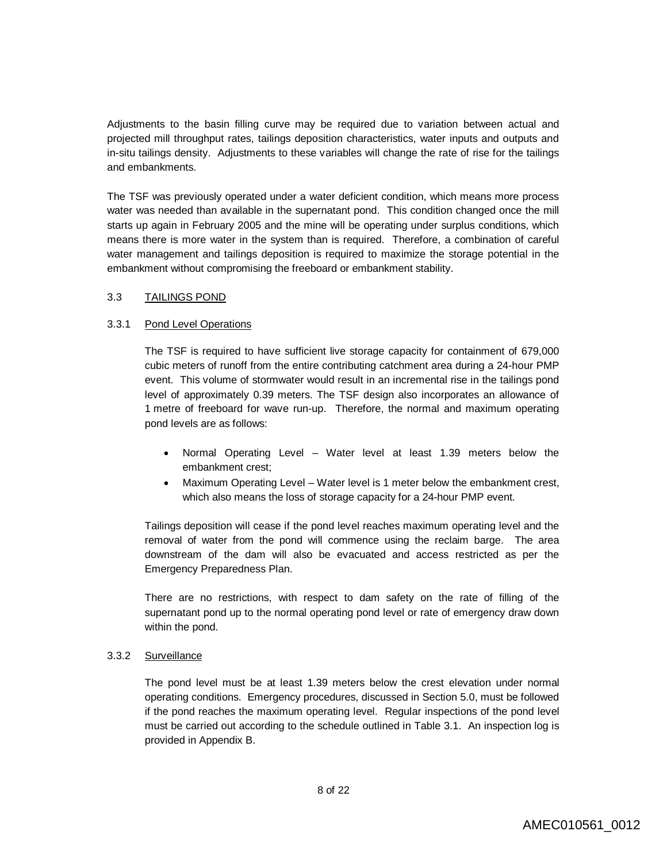Adjustments to the basin filling curve may be required due to variation between actual and projected mill throughput rates, tailings deposition characteristics, water inputs and outputs and in-situ tailings density. Adjustments to these variables will change the rate of rise for the tailings and embankments.

The TSF was previously operated under a water deficient condition, which means more process water was needed than available in the supernatant pond. This condition changed once the mill starts up again in February 2005 and the mine will be operating under surplus conditions, which means there is more water in the system than is required. Therefore, a combination of careful water management and tailings deposition is required to maximize the storage potential in the embankment without compromising the freeboard or embankment stability.

#### 3.3 TAILINGS POND

#### 3.3.1 Pond Level Operations

The TSF is required to have sufficient live storage capacity for containment of 679,000 cubic meters of runoff from the entire contributing catchment area during a 24-hour PMP event. This volume of stormwater would result in an incremental rise in the tailings pond level of approximately 0.39 meters. The TSF design also incorporates an allowance of 1 metre of freeboard for wave run-up. Therefore, the normal and maximum operating pond levels are as follows:

- Normal Operating Level Water level at least 1.39 meters below the embankment crest;
- Maximum Operating Level Water level is 1 meter below the embankment crest, which also means the loss of storage capacity for a 24-hour PMP event.

Tailings deposition will cease if the pond level reaches maximum operating level and the removal of water from the pond will commence using the reclaim barge. The area downstream of the dam will also be evacuated and access restricted as per the Emergency Preparedness Plan.

There are no restrictions, with respect to dam safety on the rate of filling of the supernatant pond up to the normal operating pond level or rate of emergency draw down within the pond.

## 3.3.2 Surveillance

The pond level must be at least 1.39 meters below the crest elevation under normal operating conditions. Emergency procedures, discussed in Section 5.0, must be followed if the pond reaches the maximum operating level. Regular inspections of the pond level must be carried out according to the schedule outlined in Table 3.1. An inspection log is provided in Appendix B.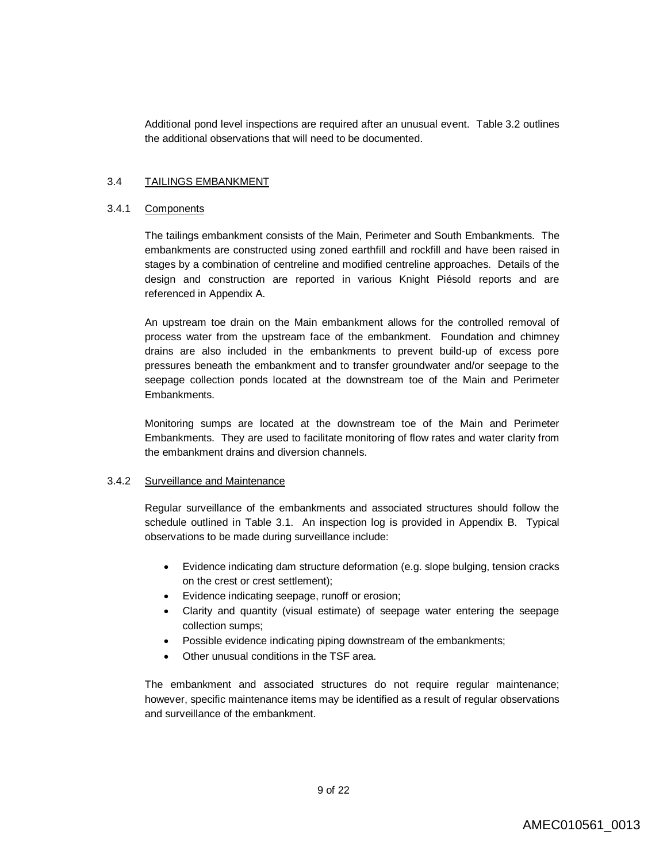Additional pond level inspections are required after an unusual event. Table 3.2 outlines the additional observations that will need to be documented.

#### 3.4 TAILINGS EMBANKMENT

#### 3.4.1 Components

The tailings embankment consists of the Main, Perimeter and South Embankments. The embankments are constructed using zoned earthfill and rockfill and have been raised in stages by a combination of centreline and modified centreline approaches. Details of the design and construction are reported in various Knight Piésold reports and are referenced in Appendix A.

An upstream toe drain on the Main embankment allows for the controlled removal of process water from the upstream face of the embankment. Foundation and chimney drains are also included in the embankments to prevent build-up of excess pore pressures beneath the embankment and to transfer groundwater and/or seepage to the seepage collection ponds located at the downstream toe of the Main and Perimeter Embankments.

Monitoring sumps are located at the downstream toe of the Main and Perimeter Embankments. They are used to facilitate monitoring of flow rates and water clarity from the embankment drains and diversion channels.

#### 3.4.2 Surveillance and Maintenance

Regular surveillance of the embankments and associated structures should follow the schedule outlined in Table 3.1. An inspection log is provided in Appendix B. Typical observations to be made during surveillance include:

- Evidence indicating dam structure deformation (e.g. slope bulging, tension cracks on the crest or crest settlement);
- Evidence indicating seepage, runoff or erosion;
- Clarity and quantity (visual estimate) of seepage water entering the seepage collection sumps;
- Possible evidence indicating piping downstream of the embankments;
- Other unusual conditions in the TSF area.

The embankment and associated structures do not require regular maintenance; however, specific maintenance items may be identified as a result of regular observations and surveillance of the embankment.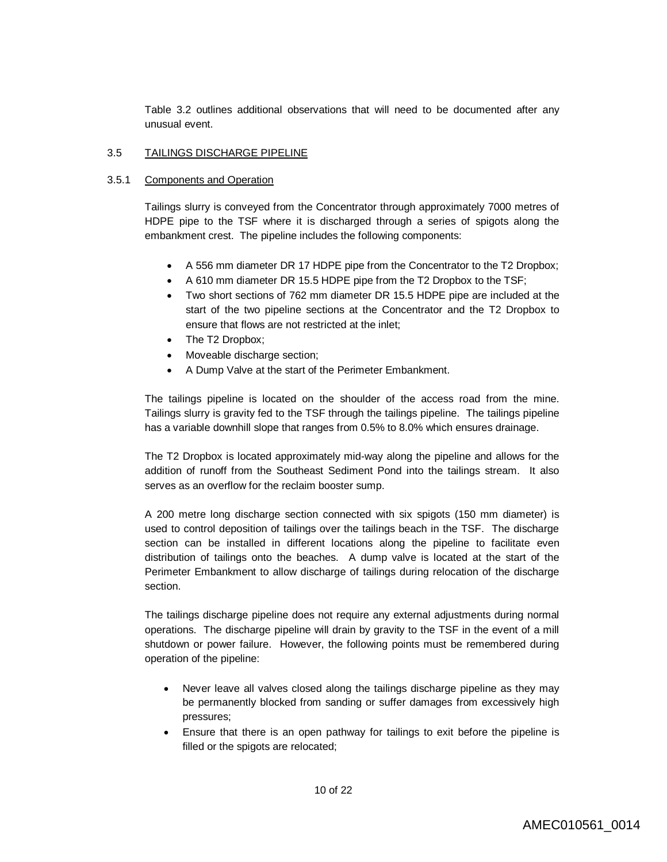Table 3.2 outlines additional observations that will need to be documented after any unusual event.

#### 3.5 TAILINGS DISCHARGE PIPELINE

#### 3.5.1 Components and Operation

Tailings slurry is conveyed from the Concentrator through approximately 7000 metres of HDPE pipe to the TSF where it is discharged through a series of spigots along the embankment crest. The pipeline includes the following components:

- A 556 mm diameter DR 17 HDPE pipe from the Concentrator to the T2 Dropbox;
- A 610 mm diameter DR 15.5 HDPE pipe from the T2 Dropbox to the TSF;
- Two short sections of 762 mm diameter DR 15.5 HDPE pipe are included at the start of the two pipeline sections at the Concentrator and the T2 Dropbox to ensure that flows are not restricted at the inlet;
- The T2 Dropbox;
- Moveable discharge section;
- A Dump Valve at the start of the Perimeter Embankment.

The tailings pipeline is located on the shoulder of the access road from the mine. Tailings slurry is gravity fed to the TSF through the tailings pipeline. The tailings pipeline has a variable downhill slope that ranges from 0.5% to 8.0% which ensures drainage.

The T2 Dropbox is located approximately mid-way along the pipeline and allows for the addition of runoff from the Southeast Sediment Pond into the tailings stream. It also serves as an overflow for the reclaim booster sump.

A 200 metre long discharge section connected with six spigots (150 mm diameter) is used to control deposition of tailings over the tailings beach in the TSF. The discharge section can be installed in different locations along the pipeline to facilitate even distribution of tailings onto the beaches. A dump valve is located at the start of the Perimeter Embankment to allow discharge of tailings during relocation of the discharge section.

The tailings discharge pipeline does not require any external adjustments during normal operations. The discharge pipeline will drain by gravity to the TSF in the event of a mill shutdown or power failure. However, the following points must be remembered during operation of the pipeline:

- Never leave all valves closed along the tailings discharge pipeline as they may be permanently blocked from sanding or suffer damages from excessively high pressures;
- Ensure that there is an open pathway for tailings to exit before the pipeline is filled or the spigots are relocated;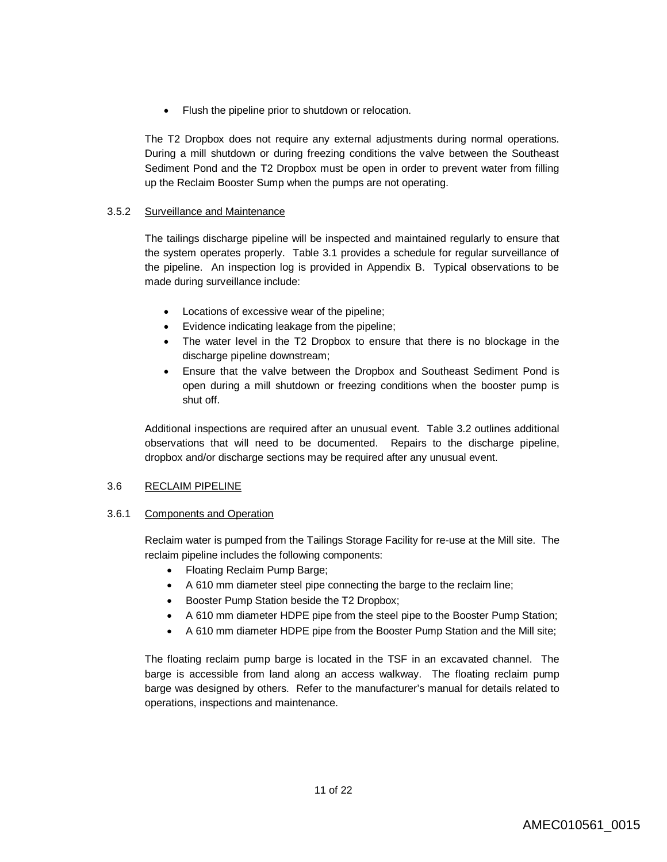• Flush the pipeline prior to shutdown or relocation.

The T2 Dropbox does not require any external adjustments during normal operations. During a mill shutdown or during freezing conditions the valve between the Southeast Sediment Pond and the T2 Dropbox must be open in order to prevent water from filling up the Reclaim Booster Sump when the pumps are not operating.

### 3.5.2 Surveillance and Maintenance

The tailings discharge pipeline will be inspected and maintained regularly to ensure that the system operates properly. Table 3.1 provides a schedule for regular surveillance of the pipeline. An inspection log is provided in Appendix B. Typical observations to be made during surveillance include:

- Locations of excessive wear of the pipeline;
- Evidence indicating leakage from the pipeline;
- The water level in the T2 Dropbox to ensure that there is no blockage in the discharge pipeline downstream;
- Ensure that the valve between the Dropbox and Southeast Sediment Pond is open during a mill shutdown or freezing conditions when the booster pump is shut off.

Additional inspections are required after an unusual event. Table 3.2 outlines additional observations that will need to be documented. Repairs to the discharge pipeline, dropbox and/or discharge sections may be required after any unusual event.

#### 3.6 RECLAIM PIPELINE

#### 3.6.1 Components and Operation

Reclaim water is pumped from the Tailings Storage Facility for re-use at the Mill site. The reclaim pipeline includes the following components:

- Floating Reclaim Pump Barge;
- A 610 mm diameter steel pipe connecting the barge to the reclaim line;
- Booster Pump Station beside the T2 Dropbox;
- A 610 mm diameter HDPE pipe from the steel pipe to the Booster Pump Station;
- A 610 mm diameter HDPE pipe from the Booster Pump Station and the Mill site;

The floating reclaim pump barge is located in the TSF in an excavated channel. The barge is accessible from land along an access walkway. The floating reclaim pump barge was designed by others. Refer to the manufacturer's manual for details related to operations, inspections and maintenance.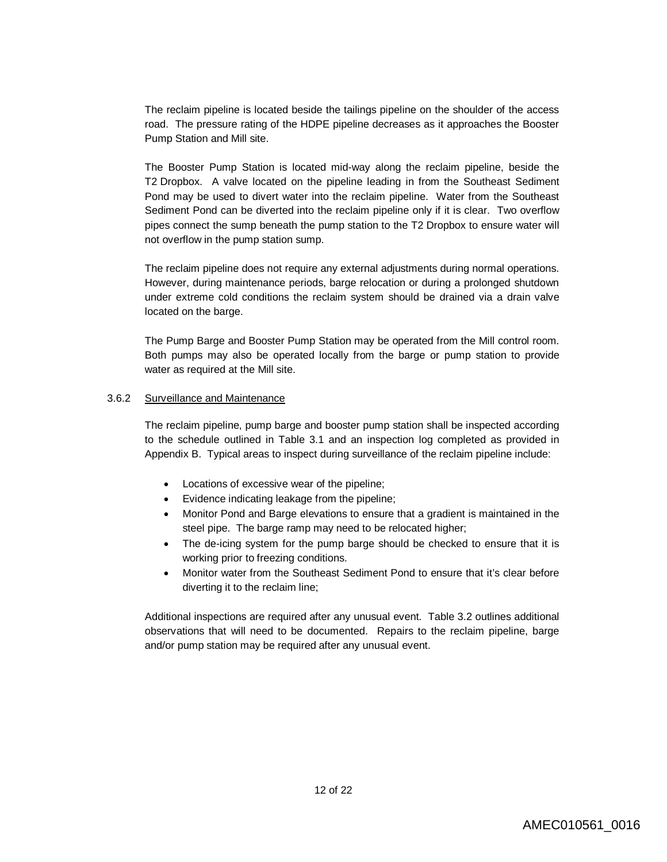The reclaim pipeline is located beside the tailings pipeline on the shoulder of the access road. The pressure rating of the HDPE pipeline decreases as it approaches the Booster Pump Station and Mill site.

The Booster Pump Station is located mid-way along the reclaim pipeline, beside the T2 Dropbox. A valve located on the pipeline leading in from the Southeast Sediment Pond may be used to divert water into the reclaim pipeline. Water from the Southeast Sediment Pond can be diverted into the reclaim pipeline only if it is clear. Two overflow pipes connect the sump beneath the pump station to the T2 Dropbox to ensure water will not overflow in the pump station sump.

The reclaim pipeline does not require any external adjustments during normal operations. However, during maintenance periods, barge relocation or during a prolonged shutdown under extreme cold conditions the reclaim system should be drained via a drain valve located on the barge.

The Pump Barge and Booster Pump Station may be operated from the Mill control room. Both pumps may also be operated locally from the barge or pump station to provide water as required at the Mill site.

#### 3.6.2 Surveillance and Maintenance

The reclaim pipeline, pump barge and booster pump station shall be inspected according to the schedule outlined in Table 3.1 and an inspection log completed as provided in Appendix B. Typical areas to inspect during surveillance of the reclaim pipeline include:

- Locations of excessive wear of the pipeline;
- Evidence indicating leakage from the pipeline;
- Monitor Pond and Barge elevations to ensure that a gradient is maintained in the steel pipe. The barge ramp may need to be relocated higher;
- The de-icing system for the pump barge should be checked to ensure that it is working prior to freezing conditions.
- Monitor water from the Southeast Sediment Pond to ensure that it's clear before diverting it to the reclaim line;

Additional inspections are required after any unusual event. Table 3.2 outlines additional observations that will need to be documented. Repairs to the reclaim pipeline, barge and/or pump station may be required after any unusual event.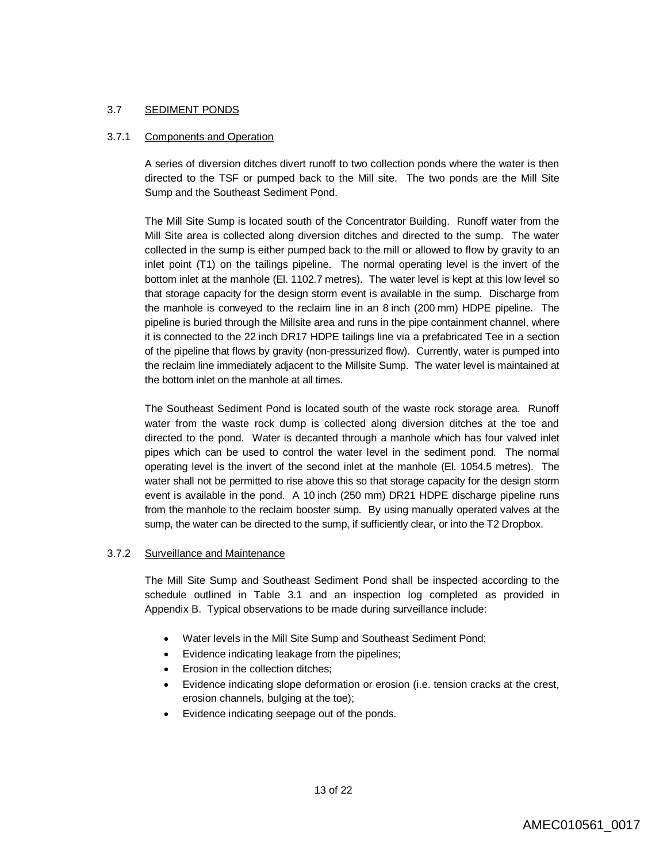#### 3.7 SEDIMENT PONDS

#### 3.7.1 Components and Operation

A series of diversion ditches divert runoff to two collection ponds where the water is then directed to the TSF or pumped back to the Mill site. The two ponds are the Mill Site Sump and the Southeast Sediment Pond.

The Mill Site Sump is located south of the Concentrator Building. Runoff water from the Mill Site area is collected along diversion ditches and directed to the sump. The water collected in the sump is either pumped back to the mill or allowed to flow by gravity to an inlet point (T1) on the tailings pipeline. The normal operating level is the invert of the bottom inlet at the manhole (El. 1102.7 metres). The water level is kept at this low level so that storage capacity for the design storm event is available in the sump. Discharge from the manhole is conveyed to the reclaim line in an 8 inch (200 mm) HDPE pipeline. The pipeline is buried through the Millsite area and runs in the pipe containment channel, where it is connected to the 22 inch DR17 HDPE tailings line via a prefabricated Tee in a section of the pipeline that flows by gravity (non-pressurized flow). Currently, water is pumped into the reclaim line immediately adjacent to the Millsite Sump. The water level is maintained at the bottom inlet on the manhole at all times.

The Southeast Sediment Pond is located south of the waste rock storage area. Runoff water from the waste rock dump is collected along diversion ditches at the toe and directed to the pond. Water is decanted through a manhole which has four valved inlet pipes which can be used to control the water level in the sediment pond. The normal operating level is the invert of the second inlet at the manhole (El. 1054.5 metres). The water shall not be permitted to rise above this so that storage capacity for the design storm event is available in the pond. A 10 inch (250 mm) DR21 HDPE discharge pipeline runs from the manhole to the reclaim booster sump. By using manually operated valves at the sump, the water can be directed to the sump, if sufficiently clear, or into the T2 Dropbox.

#### 3.7.2 Surveillance and Maintenance

The Mill Site Sump and Southeast Sediment Pond shall be inspected according to the schedule outlined in Table 3.1 and an inspection log completed as provided in Appendix B. Typical observations to be made during surveillance include:

- Water levels in the Mill Site Sump and Southeast Sediment Pond;
- Evidence indicating leakage from the pipelines;
- Erosion in the collection ditches;
- Evidence indicating slope deformation or erosion (i.e. tension cracks at the crest, erosion channels, bulging at the toe);
- Evidence indicating seepage out of the ponds.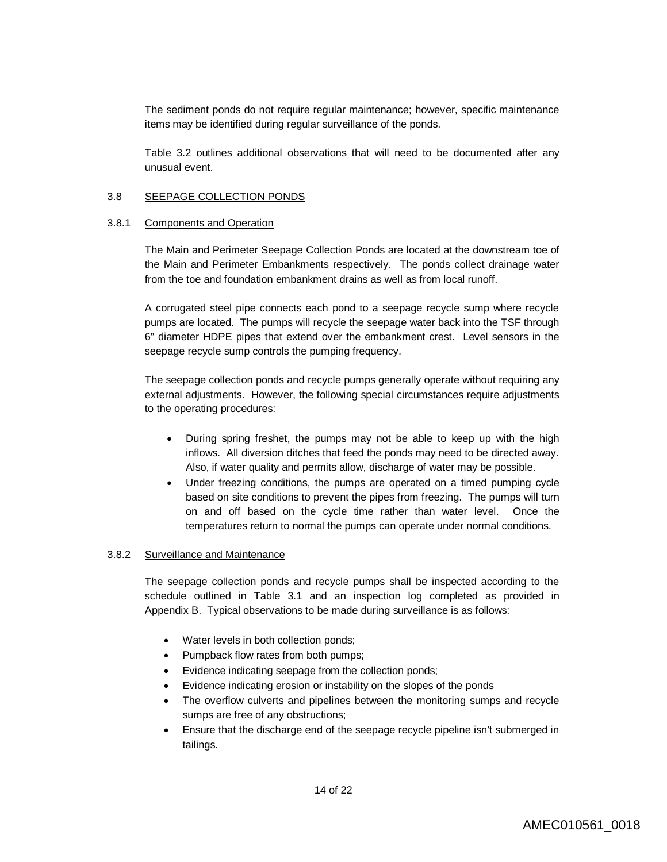The sediment ponds do not require regular maintenance; however, specific maintenance items may be identified during regular surveillance of the ponds.

Table 3.2 outlines additional observations that will need to be documented after any unusual event.

#### 3.8 SEEPAGE COLLECTION PONDS

#### 3.8.1 Components and Operation

The Main and Perimeter Seepage Collection Ponds are located at the downstream toe of the Main and Perimeter Embankments respectively. The ponds collect drainage water from the toe and foundation embankment drains as well as from local runoff.

A corrugated steel pipe connects each pond to a seepage recycle sump where recycle pumps are located. The pumps will recycle the seepage water back into the TSF through 6" diameter HDPE pipes that extend over the embankment crest. Level sensors in the seepage recycle sump controls the pumping frequency.

The seepage collection ponds and recycle pumps generally operate without requiring any external adjustments. However, the following special circumstances require adjustments to the operating procedures:

- During spring freshet, the pumps may not be able to keep up with the high inflows. All diversion ditches that feed the ponds may need to be directed away. Also, if water quality and permits allow, discharge of water may be possible.
- Under freezing conditions, the pumps are operated on a timed pumping cycle based on site conditions to prevent the pipes from freezing. The pumps will turn on and off based on the cycle time rather than water level. Once the temperatures return to normal the pumps can operate under normal conditions.

#### 3.8.2 Surveillance and Maintenance

The seepage collection ponds and recycle pumps shall be inspected according to the schedule outlined in Table 3.1 and an inspection log completed as provided in Appendix B. Typical observations to be made during surveillance is as follows:

- Water levels in both collection ponds;
- Pumpback flow rates from both pumps;
- Evidence indicating seepage from the collection ponds;
- Evidence indicating erosion or instability on the slopes of the ponds
- The overflow culverts and pipelines between the monitoring sumps and recycle sumps are free of any obstructions;
- Ensure that the discharge end of the seepage recycle pipeline isn't submerged in tailings.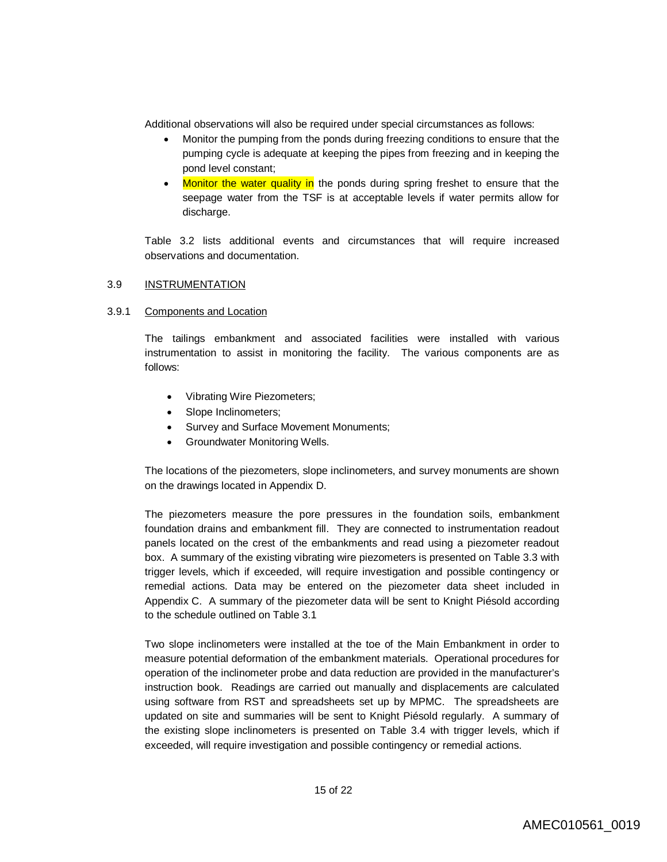Additional observations will also be required under special circumstances as follows:

- Monitor the pumping from the ponds during freezing conditions to ensure that the pumping cycle is adequate at keeping the pipes from freezing and in keeping the pond level constant;
- Monitor the water quality in the ponds during spring freshet to ensure that the seepage water from the TSF is at acceptable levels if water permits allow for discharge.

Table 3.2 lists additional events and circumstances that will require increased observations and documentation.

#### 3.9 INSTRUMENTATION

### 3.9.1 Components and Location

The tailings embankment and associated facilities were installed with various instrumentation to assist in monitoring the facility. The various components are as follows:

- Vibrating Wire Piezometers;
- Slope Inclinometers;
- Survey and Surface Movement Monuments;
- Groundwater Monitoring Wells.

The locations of the piezometers, slope inclinometers, and survey monuments are shown on the drawings located in Appendix D.

The piezometers measure the pore pressures in the foundation soils, embankment foundation drains and embankment fill. They are connected to instrumentation readout panels located on the crest of the embankments and read using a piezometer readout box. A summary of the existing vibrating wire piezometers is presented on Table 3.3 with trigger levels, which if exceeded, will require investigation and possible contingency or remedial actions. Data may be entered on the piezometer data sheet included in Appendix C. A summary of the piezometer data will be sent to Knight Piésold according to the schedule outlined on Table 3.1

Two slope inclinometers were installed at the toe of the Main Embankment in order to measure potential deformation of the embankment materials. Operational procedures for operation of the inclinometer probe and data reduction are provided in the manufacturer's instruction book. Readings are carried out manually and displacements are calculated using software from RST and spreadsheets set up by MPMC. The spreadsheets are updated on site and summaries will be sent to Knight Piésold regularly. A summary of the existing slope inclinometers is presented on Table 3.4 with trigger levels, which if exceeded, will require investigation and possible contingency or remedial actions.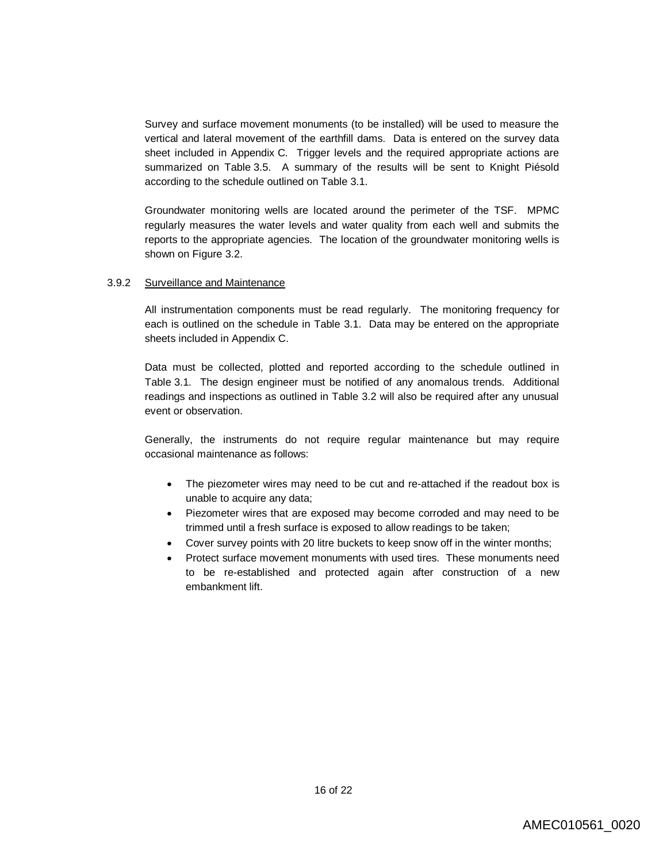Survey and surface movement monuments (to be installed) will be used to measure the vertical and lateral movement of the earthfill dams. Data is entered on the survey data sheet included in Appendix C. Trigger levels and the required appropriate actions are summarized on Table 3.5. A summary of the results will be sent to Knight Piésold according to the schedule outlined on Table 3.1.

Groundwater monitoring wells are located around the perimeter of the TSF. MPMC regularly measures the water levels and water quality from each well and submits the reports to the appropriate agencies. The location of the groundwater monitoring wells is shown on Figure 3.2.

#### 3.9.2 Surveillance and Maintenance

All instrumentation components must be read regularly. The monitoring frequency for each is outlined on the schedule in Table 3.1. Data may be entered on the appropriate sheets included in Appendix C.

Data must be collected, plotted and reported according to the schedule outlined in Table 3.1. The design engineer must be notified of any anomalous trends. Additional readings and inspections as outlined in Table 3.2 will also be required after any unusual event or observation.

Generally, the instruments do not require regular maintenance but may require occasional maintenance as follows:

- The piezometer wires may need to be cut and re-attached if the readout box is unable to acquire any data;
- Piezometer wires that are exposed may become corroded and may need to be trimmed until a fresh surface is exposed to allow readings to be taken;
- Cover survey points with 20 litre buckets to keep snow off in the winter months;
- Protect surface movement monuments with used tires. These monuments need to be re-established and protected again after construction of a new embankment lift.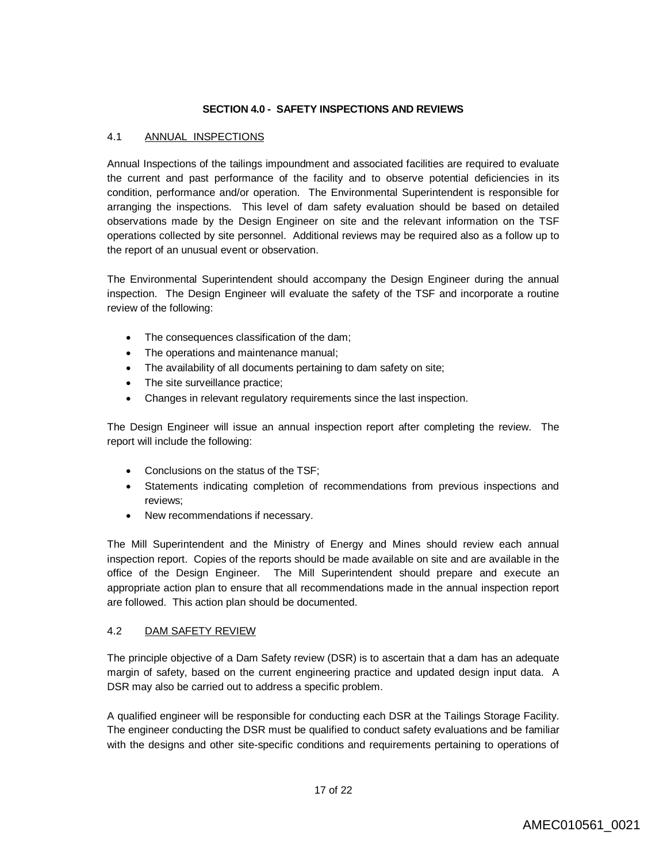#### **SECTION 4.0 - SAFETY INSPECTIONS AND REVIEWS**

### 4.1 ANNUAL INSPECTIONS

Annual Inspections of the tailings impoundment and associated facilities are required to evaluate the current and past performance of the facility and to observe potential deficiencies in its condition, performance and/or operation. The Environmental Superintendent is responsible for arranging the inspections. This level of dam safety evaluation should be based on detailed observations made by the Design Engineer on site and the relevant information on the TSF operations collected by site personnel. Additional reviews may be required also as a follow up to the report of an unusual event or observation.

The Environmental Superintendent should accompany the Design Engineer during the annual inspection. The Design Engineer will evaluate the safety of the TSF and incorporate a routine review of the following:

- The consequences classification of the dam;
- The operations and maintenance manual;
- The availability of all documents pertaining to dam safety on site;
- The site surveillance practice;
- Changes in relevant regulatory requirements since the last inspection.

The Design Engineer will issue an annual inspection report after completing the review. The report will include the following:

- Conclusions on the status of the TSF;
- Statements indicating completion of recommendations from previous inspections and reviews;
- New recommendations if necessary.

The Mill Superintendent and the Ministry of Energy and Mines should review each annual inspection report. Copies of the reports should be made available on site and are available in the office of the Design Engineer. The Mill Superintendent should prepare and execute an appropriate action plan to ensure that all recommendations made in the annual inspection report are followed. This action plan should be documented.

## 4.2 DAM SAFETY REVIEW

The principle objective of a Dam Safety review (DSR) is to ascertain that a dam has an adequate margin of safety, based on the current engineering practice and updated design input data. A DSR may also be carried out to address a specific problem.

A qualified engineer will be responsible for conducting each DSR at the Tailings Storage Facility. The engineer conducting the DSR must be qualified to conduct safety evaluations and be familiar with the designs and other site-specific conditions and requirements pertaining to operations of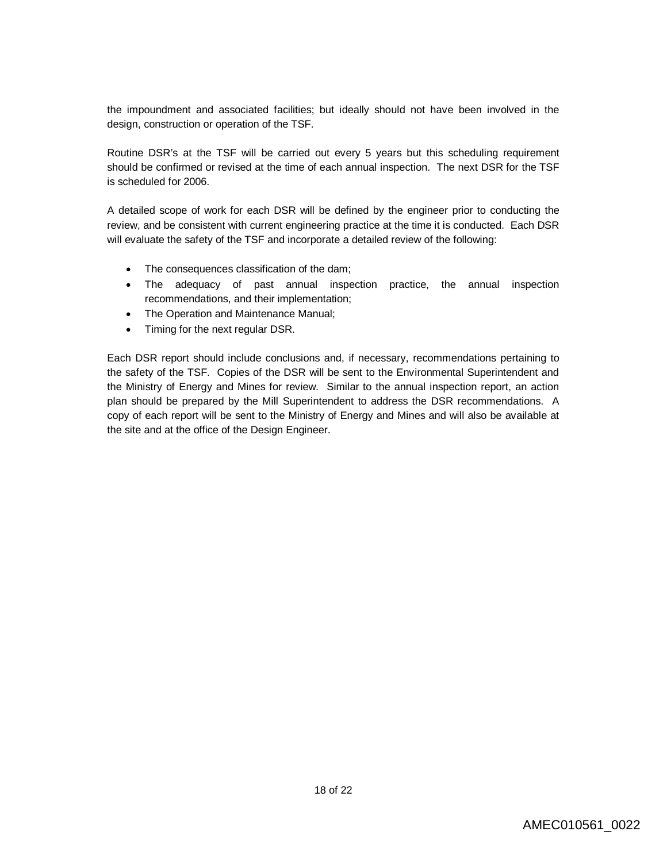the impoundment and associated facilities; but ideally should not have been involved in the design, construction or operation of the TSF.

Routine DSR's at the TSF will be carried out every 5 years but this scheduling requirement should be confirmed or revised at the time of each annual inspection. The next DSR for the TSF is scheduled for 2006.

A detailed scope of work for each DSR will be defined by the engineer prior to conducting the review, and be consistent with current engineering practice at the time it is conducted. Each DSR will evaluate the safety of the TSF and incorporate a detailed review of the following:

- The consequences classification of the dam;
- The adequacy of past annual inspection practice, the annual inspection recommendations, and their implementation;
- The Operation and Maintenance Manual;
- Timing for the next regular DSR.

Each DSR report should include conclusions and, if necessary, recommendations pertaining to the safety of the TSF. Copies of the DSR will be sent to the Environmental Superintendent and the Ministry of Energy and Mines for review. Similar to the annual inspection report, an action plan should be prepared by the Mill Superintendent to address the DSR recommendations. A copy of each report will be sent to the Ministry of Energy and Mines and will also be available at the site and at the office of the Design Engineer.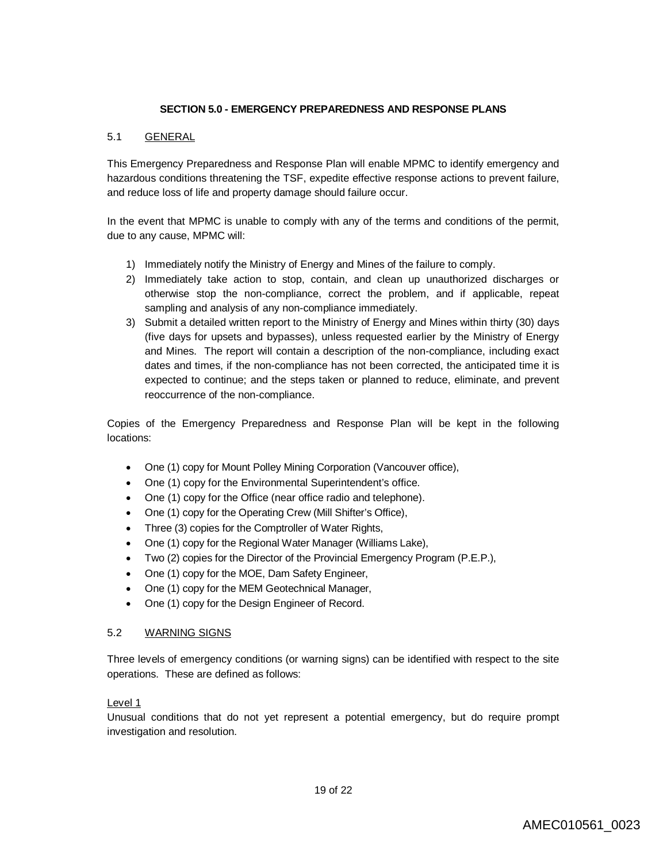### **SECTION 5.0 - EMERGENCY PREPAREDNESS AND RESPONSE PLANS**

### 5.1 GENERAL

This Emergency Preparedness and Response Plan will enable MPMC to identify emergency and hazardous conditions threatening the TSF, expedite effective response actions to prevent failure, and reduce loss of life and property damage should failure occur.

In the event that MPMC is unable to comply with any of the terms and conditions of the permit, due to any cause, MPMC will:

- 1) Immediately notify the Ministry of Energy and Mines of the failure to comply.
- 2) Immediately take action to stop, contain, and clean up unauthorized discharges or otherwise stop the non-compliance, correct the problem, and if applicable, repeat sampling and analysis of any non-compliance immediately.
- 3) Submit a detailed written report to the Ministry of Energy and Mines within thirty (30) days (five days for upsets and bypasses), unless requested earlier by the Ministry of Energy and Mines. The report will contain a description of the non-compliance, including exact dates and times, if the non-compliance has not been corrected, the anticipated time it is expected to continue; and the steps taken or planned to reduce, eliminate, and prevent reoccurrence of the non-compliance.

Copies of the Emergency Preparedness and Response Plan will be kept in the following locations:

- One (1) copy for Mount Polley Mining Corporation (Vancouver office),
- One (1) copy for the Environmental Superintendent's office.
- One (1) copy for the Office (near office radio and telephone).
- One (1) copy for the Operating Crew (Mill Shifter's Office),
- Three (3) copies for the Comptroller of Water Rights,
- One (1) copy for the Regional Water Manager (Williams Lake),
- Two (2) copies for the Director of the Provincial Emergency Program (P.E.P.),
- One (1) copy for the MOE, Dam Safety Engineer,
- One (1) copy for the MEM Geotechnical Manager,
- One (1) copy for the Design Engineer of Record.

#### 5.2 WARNING SIGNS

Three levels of emergency conditions (or warning signs) can be identified with respect to the site operations. These are defined as follows:

#### Level 1

Unusual conditions that do not yet represent a potential emergency, but do require prompt investigation and resolution.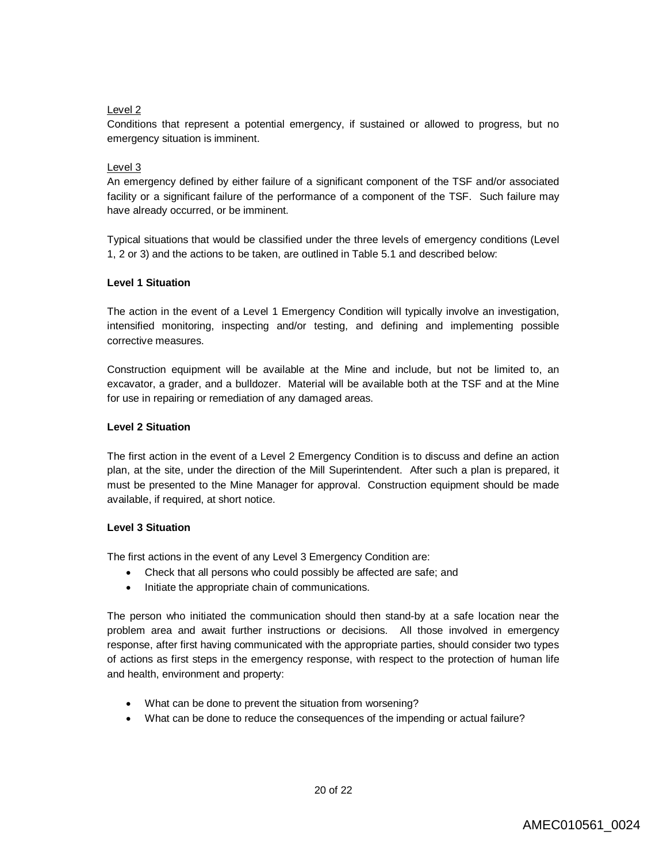## Level 2

Conditions that represent a potential emergency, if sustained or allowed to progress, but no emergency situation is imminent.

## Level 3

An emergency defined by either failure of a significant component of the TSF and/or associated facility or a significant failure of the performance of a component of the TSF. Such failure may have already occurred, or be imminent.

Typical situations that would be classified under the three levels of emergency conditions (Level 1, 2 or 3) and the actions to be taken, are outlined in Table 5.1 and described below:

### **Level 1 Situation**

The action in the event of a Level 1 Emergency Condition will typically involve an investigation, intensified monitoring, inspecting and/or testing, and defining and implementing possible corrective measures.

Construction equipment will be available at the Mine and include, but not be limited to, an excavator, a grader, and a bulldozer. Material will be available both at the TSF and at the Mine for use in repairing or remediation of any damaged areas.

## **Level 2 Situation**

The first action in the event of a Level 2 Emergency Condition is to discuss and define an action plan, at the site, under the direction of the Mill Superintendent. After such a plan is prepared, it must be presented to the Mine Manager for approval. Construction equipment should be made available, if required, at short notice.

## **Level 3 Situation**

The first actions in the event of any Level 3 Emergency Condition are:

- Check that all persons who could possibly be affected are safe; and
- Initiate the appropriate chain of communications.

The person who initiated the communication should then stand-by at a safe location near the problem area and await further instructions or decisions. All those involved in emergency response, after first having communicated with the appropriate parties, should consider two types of actions as first steps in the emergency response, with respect to the protection of human life and health, environment and property:

- What can be done to prevent the situation from worsening?
- What can be done to reduce the consequences of the impending or actual failure?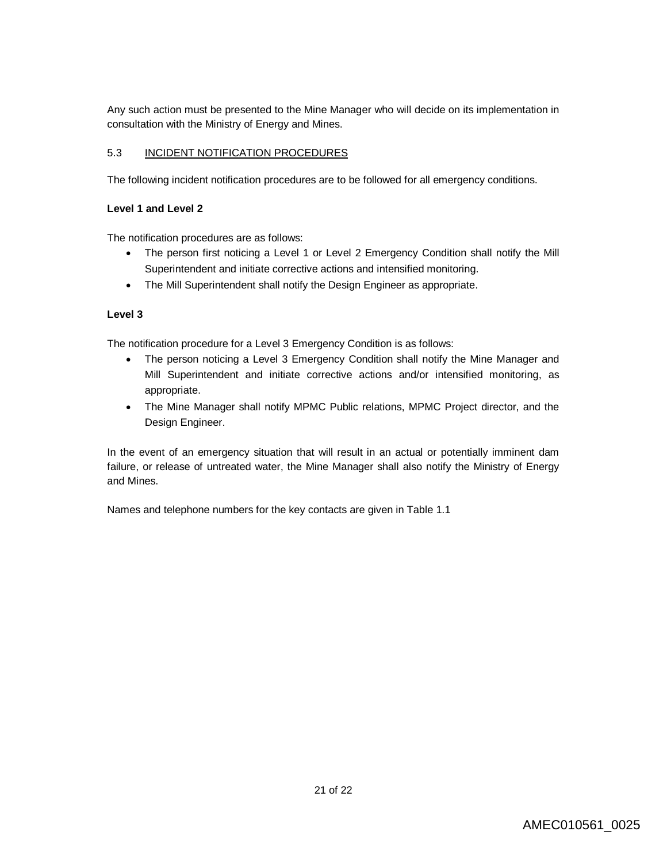Any such action must be presented to the Mine Manager who will decide on its implementation in consultation with the Ministry of Energy and Mines.

## 5.3 INCIDENT NOTIFICATION PROCEDURES

The following incident notification procedures are to be followed for all emergency conditions.

## **Level 1 and Level 2**

The notification procedures are as follows:

- The person first noticing a Level 1 or Level 2 Emergency Condition shall notify the Mill Superintendent and initiate corrective actions and intensified monitoring.
- The Mill Superintendent shall notify the Design Engineer as appropriate.

## **Level 3**

The notification procedure for a Level 3 Emergency Condition is as follows:

- The person noticing a Level 3 Emergency Condition shall notify the Mine Manager and Mill Superintendent and initiate corrective actions and/or intensified monitoring, as appropriate.
- The Mine Manager shall notify MPMC Public relations, MPMC Project director, and the Design Engineer.

In the event of an emergency situation that will result in an actual or potentially imminent dam failure, or release of untreated water, the Mine Manager shall also notify the Ministry of Energy and Mines.

Names and telephone numbers for the key contacts are given in Table 1.1